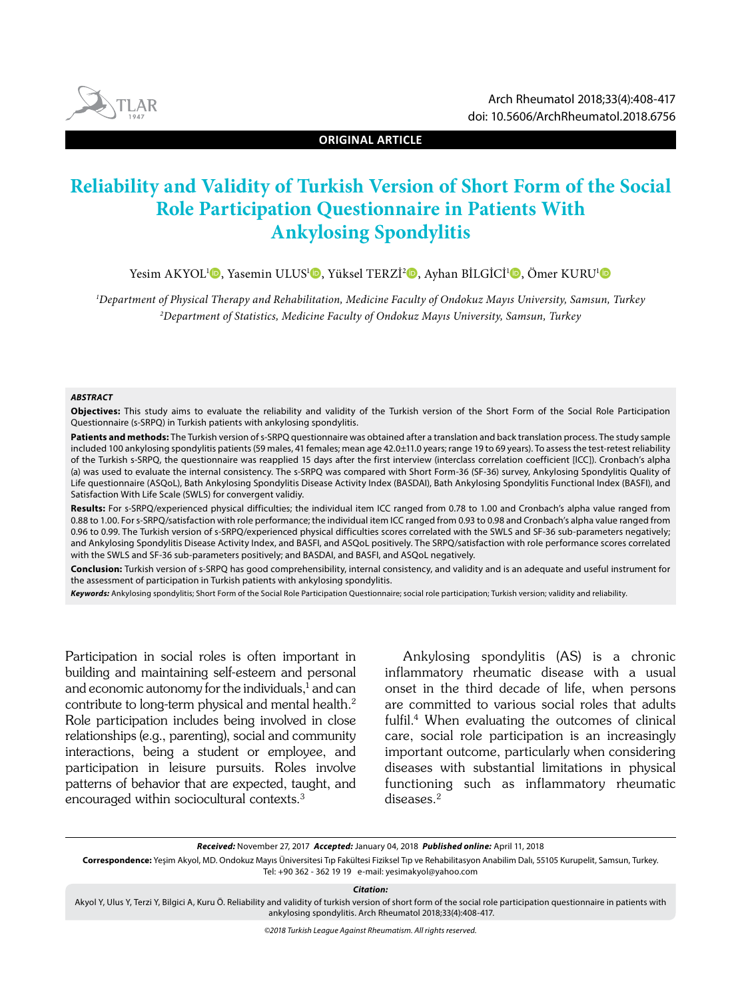

**ORIGINAL ARTICLE**

# **Reliability and Validity of Turkish Version of Short Form of the Social Role Participation Questionnaire in Patients With Ankylosing Spondylitis**

Yesim AKYOL<sup>ı</sup>©[,](https://orcid.org/0000-0001-5677-3924) Yasemin ULUS<sup>ı</sup>©, Yüksel TERZİ<del>'</del>©, Ayhan BİLGİCİ'©, Ömer KURU'©

1 Department of Physical Therapy and Rehabilitation, Medicine Faculty of Ondokuz Mayıs University, Samsun, Turkey 2 Department of Statistics, Medicine Faculty of Ondokuz Mayıs University, Samsun, Turkey

#### **ABSTRACT**

**Objectives:** This study aims to evaluate the reliability and validity of the Turkish version of the Short Form of the Social Role Participation Questionnaire (s-SRPQ) in Turkish patients with ankylosing spondylitis.

**Patients and methods:** The Turkish version of s-SRPQ questionnaire was obtained after a translation and back translation process. The study sample included 100 ankylosing spondylitis patients (59 males, 41 females; mean age 42.0±11.0 years; range 19 to 69 years). To assess the test-retest reliability of the Turkish s-SRPQ, the questionnaire was reapplied 15 days after the first interview (interclass correlation coefficient [ICC]). Cronbach's alpha (a) was used to evaluate the internal consistency. The s-SRPQ was compared with Short Form-36 (SF-36) survey, Ankylosing Spondylitis Quality of Life questionnaire (ASQoL), Bath Ankylosing Spondylitis Disease Activity Index (BASDAI), Bath Ankylosing Spondylitis Functional Index (BASFI), and Satisfaction With Life Scale (SWLS) for convergent validiy.

**Results:** For s-SRPQ/experienced physical difficulties; the individual item ICC ranged from 0.78 to 1.00 and Cronbach's alpha value ranged from 0.88 to 1.00. For s-SRPQ/satisfaction with role performance; the individual item ICC ranged from 0.93 to 0.98 and Cronbach's alpha value ranged from 0.96 to 0.99. The Turkish version of s-SRPQ/experienced physical difficulties scores correlated with the SWLS and SF-36 sub-parameters negatively; and Ankylosing Spondylitis Disease Activity Index, and BASFI, and ASQoL positively. The SRPQ/satisfaction with role performance scores correlated with the SWLS and SF-36 sub-parameters positively; and BASDAI, and BASFI, and ASQoL negatively.

**Conclusion:** Turkish version of s-SRPQ has good comprehensibility, internal consistency, and validity and is an adequate and useful instrument for the assessment of participation in Turkish patients with ankylosing spondylitis.

**Keywords:** Ankylosing spondylitis; Short Form of the Social Role Participation Questionnaire; social role participation; Turkish version; validity and reliability.

Participation in social roles is often important in building and maintaining self-esteem and personal and economic autonomy for the individuals,<sup>1</sup> and can contribute to long-term physical and mental health.2 Role participation includes being involved in close relationships (e.g., parenting), social and community interactions, being a student or employee, and participation in leisure pursuits. Roles involve patterns of behavior that are expected, taught, and encouraged within sociocultural contexts.3

Ankylosing spondylitis (AS) is a chronic inflammatory rheumatic disease with a usual onset in the third decade of life, when persons are committed to various social roles that adults fulfil.4 When evaluating the outcomes of clinical care, social role participation is an increasingly important outcome, particularly when considering diseases with substantial limitations in physical functioning such as inflammatory rheumatic diseases.<sup>2</sup>

**Received:** November 27, 2017 **Accepted:** January 04, 2018 **Published online:** April 11, 2018

**Correspondence:** Yeşim Akyol, MD. Ondokuz Mayıs Üniversitesi Tıp Fakültesi Fiziksel Tıp ve Rehabilitasyon Anabilim Dalı, 55105 Kurupelit, Samsun, Turkey. Tel: +90 362 - 362 19 19 e-mail: yesimakyol@yahoo.com

**Citation:**

Akyol Y, Ulus Y, Terzi Y, Bilgici A, Kuru Ö. Reliability and validity of turkish version of short form of the social role participation questionnaire in patients with ankylosing spondylitis. Arch Rheumatol 2018;33(4):408-417.

©2018 Turkish League Against Rheumatism. All rights reserved.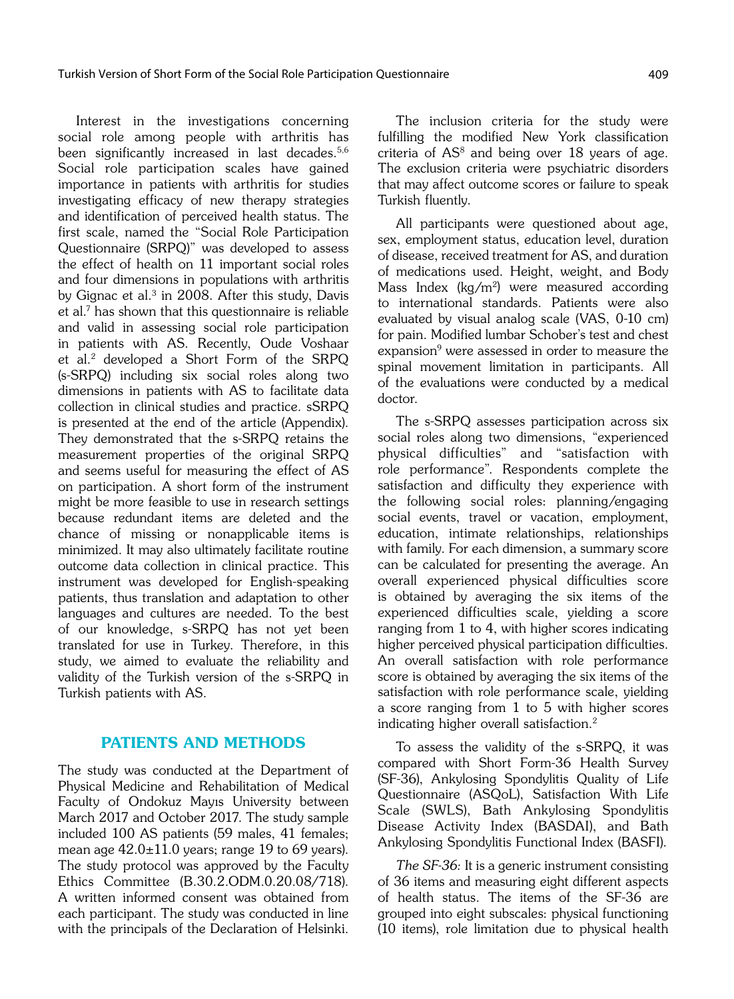Interest in the investigations concerning social role among people with arthritis has been significantly increased in last decades.<sup>5,6</sup> Social role participation scales have gained importance in patients with arthritis for studies investigating efficacy of new therapy strategies and identification of perceived health status. The first scale, named the "Social Role Participation Questionnaire (SRPQ)" was developed to assess the effect of health on 11 important social roles and four dimensions in populations with arthritis by Gignac et al.<sup>3</sup> in 2008. After this study, Davis et al.7 has shown that this questionnaire is reliable and valid in assessing social role participation in patients with AS. Recently, Oude Voshaar et al.2 developed a Short Form of the SRPQ (s-SRPQ) including six social roles along two dimensions in patients with AS to facilitate data collection in clinical studies and practice. sSRPQ is presented at the end of the article (Appendix). They demonstrated that the s-SRPQ retains the measurement properties of the original SRPQ and seems useful for measuring the effect of AS on participation. A short form of the instrument might be more feasible to use in research settings because redundant items are deleted and the chance of missing or nonapplicable items is minimized. It may also ultimately facilitate routine outcome data collection in clinical practice. This instrument was developed for English-speaking patients, thus translation and adaptation to other languages and cultures are needed. To the best of our knowledge, s-SRPQ has not yet been translated for use in Turkey. Therefore, in this study, we aimed to evaluate the reliability and validity of the Turkish version of the s-SRPQ in Turkish patients with AS.

# PATIENTS AND METHODS

The study was conducted at the Department of Physical Medicine and Rehabilitation of Medical Faculty of Ondokuz Mayıs University between March 2017 and October 2017. The study sample included 100 AS patients (59 males, 41 females; mean age  $42.0\pm11.0$  years; range 19 to 69 years). The study protocol was approved by the Faculty Ethics Committee (B.30.2.ODM.0.20.08/718). A written informed consent was obtained from each participant. The study was conducted in line with the principals of the Declaration of Helsinki.

The inclusion criteria for the study were fulfilling the modified New York classification criteria of  $AS<sup>8</sup>$  and being over 18 years of age. The exclusion criteria were psychiatric disorders that may affect outcome scores or failure to speak Turkish fluently.

All participants were questioned about age, sex, employment status, education level, duration of disease, received treatment for AS, and duration of medications used. Height, weight, and Body Mass Index (kg/m<sup>2</sup>) were measured according to international standards. Patients were also evaluated by visual analog scale (VAS, 0-10 cm) for pain. Modified lumbar Schober's test and chest expansion<sup>9</sup> were assessed in order to measure the spinal movement limitation in participants. All of the evaluations were conducted by a medical doctor.

The s-SRPQ assesses participation across six social roles along two dimensions, "experienced physical difficulties" and "satisfaction with role performance". Respondents complete the satisfaction and difficulty they experience with the following social roles: planning/engaging social events, travel or vacation, employment, education, intimate relationships, relationships with family. For each dimension, a summary score can be calculated for presenting the average. An overall experienced physical difficulties score is obtained by averaging the six items of the experienced difficulties scale, yielding a score ranging from 1 to 4, with higher scores indicating higher perceived physical participation difficulties. An overall satisfaction with role performance score is obtained by averaging the six items of the satisfaction with role performance scale, yielding a score ranging from 1 to 5 with higher scores indicating higher overall satisfaction.<sup>2</sup>

To assess the validity of the s-SRPQ, it was compared with Short Form-36 Health Survey (SF-36), Ankylosing Spondylitis Quality of Life Questionnaire (ASQoL), Satisfaction With Life Scale (SWLS), Bath Ankylosing Spondylitis Disease Activity Index (BASDAI), and Bath Ankylosing Spondylitis Functional Index (BASFI).

The SF-36: It is a generic instrument consisting of 36 items and measuring eight different aspects of health status. The items of the SF-36 are grouped into eight subscales: physical functioning (10 items), role limitation due to physical health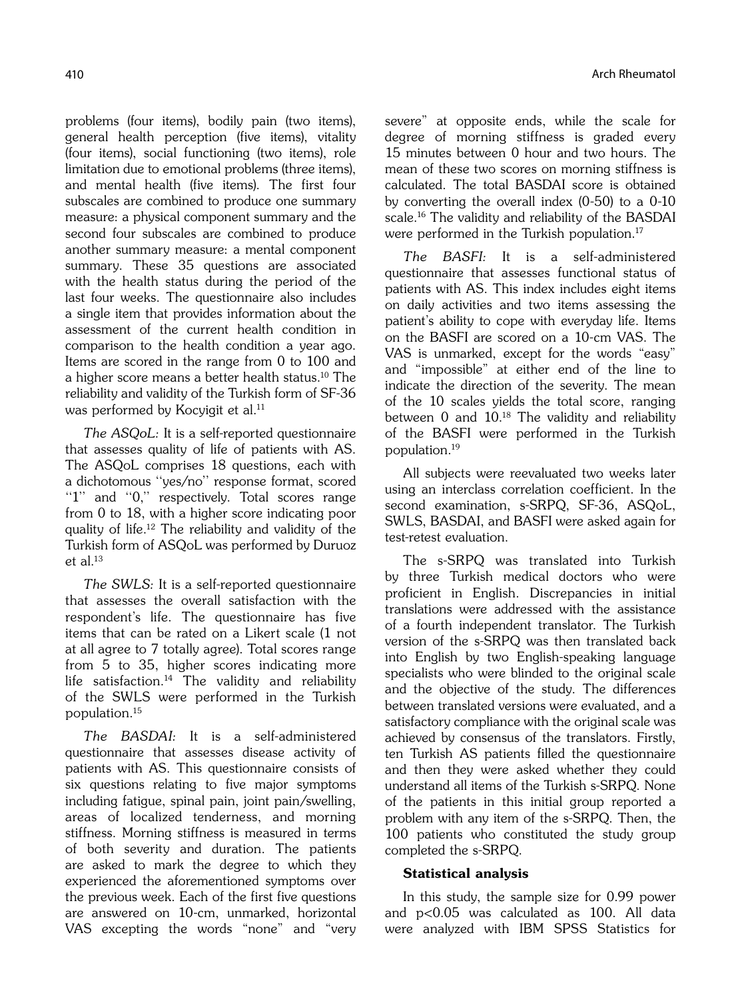problems (four items), bodily pain (two items), general health perception (five items), vitality (four items), social functioning (two items), role limitation due to emotional problems (three items), and mental health (five items). The first four subscales are combined to produce one summary measure: a physical component summary and the second four subscales are combined to produce another summary measure: a mental component summary. These 35 questions are associated with the health status during the period of the last four weeks. The questionnaire also includes a single item that provides information about the assessment of the current health condition in comparison to the health condition a year ago. Items are scored in the range from 0 to 100 and a higher score means a better health status.10 The reliability and validity of the Turkish form of SF-36 was performed by Kocyigit et al.<sup>11</sup>

The ASQoL: It is a self-reported questionnaire that assesses quality of life of patients with AS. The ASQoL comprises 18 questions, each with a dichotomous ''yes/no'' response format, scored "1" and "0," respectively. Total scores range from 0 to 18, with a higher score indicating poor quality of life.12 The reliability and validity of the Turkish form of ASQoL was performed by Duruoz et al.13

The SWLS: It is a self-reported questionnaire that assesses the overall satisfaction with the respondent's life. The questionnaire has five items that can be rated on a Likert scale (1 not at all agree to 7 totally agree). Total scores range from 5 to 35, higher scores indicating more life satisfaction.<sup>14</sup> The validity and reliability of the SWLS were performed in the Turkish population.15

The BASDAI: It is a self-administered questionnaire that assesses disease activity of patients with AS. This questionnaire consists of six questions relating to five major symptoms including fatigue, spinal pain, joint pain/swelling, areas of localized tenderness, and morning stiffness. Morning stiffness is measured in terms of both severity and duration. The patients are asked to mark the degree to which they experienced the aforementioned symptoms over the previous week. Each of the first five questions are answered on 10-cm, unmarked, horizontal VAS excepting the words "none" and "very severe" at opposite ends, while the scale for degree of morning stiffness is graded every 15 minutes between 0 hour and two hours. The mean of these two scores on morning stiffness is calculated. The total BASDAI score is obtained by converting the overall index (0-50) to a 0-10 scale.16 The validity and reliability of the BASDAI were performed in the Turkish population.<sup>17</sup>

The BASFI: It is a self-administered questionnaire that assesses functional status of patients with AS. This index includes eight items on daily activities and two items assessing the patient's ability to cope with everyday life. Items on the BASFI are scored on a 10-cm VAS. The VAS is unmarked, except for the words "easy" and "impossible" at either end of the line to indicate the direction of the severity. The mean of the 10 scales yields the total score, ranging between  $0$  and  $10^{18}$  The validity and reliability of the BASFI were performed in the Turkish population.19

All subjects were reevaluated two weeks later using an interclass correlation coefficient. In the second examination, s-SRPQ, SF-36, ASQoL, SWLS, BASDAI, and BASFI were asked again for test-retest evaluation.

The s-SRPQ was translated into Turkish by three Turkish medical doctors who were proficient in English. Discrepancies in initial translations were addressed with the assistance of a fourth independent translator. The Turkish version of the s-SRPQ was then translated back into English by two English-speaking language specialists who were blinded to the original scale and the objective of the study. The differences between translated versions were evaluated, and a satisfactory compliance with the original scale was achieved by consensus of the translators. Firstly, ten Turkish AS patients filled the questionnaire and then they were asked whether they could understand all items of the Turkish s-SRPQ. None of the patients in this initial group reported a problem with any item of the s-SRPQ. Then, the 100 patients who constituted the study group completed the s-SRPQ.

# Statistical analysis

In this study, the sample size for 0.99 power and p<0.05 was calculated as 100. All data were analyzed with IBM SPSS Statistics for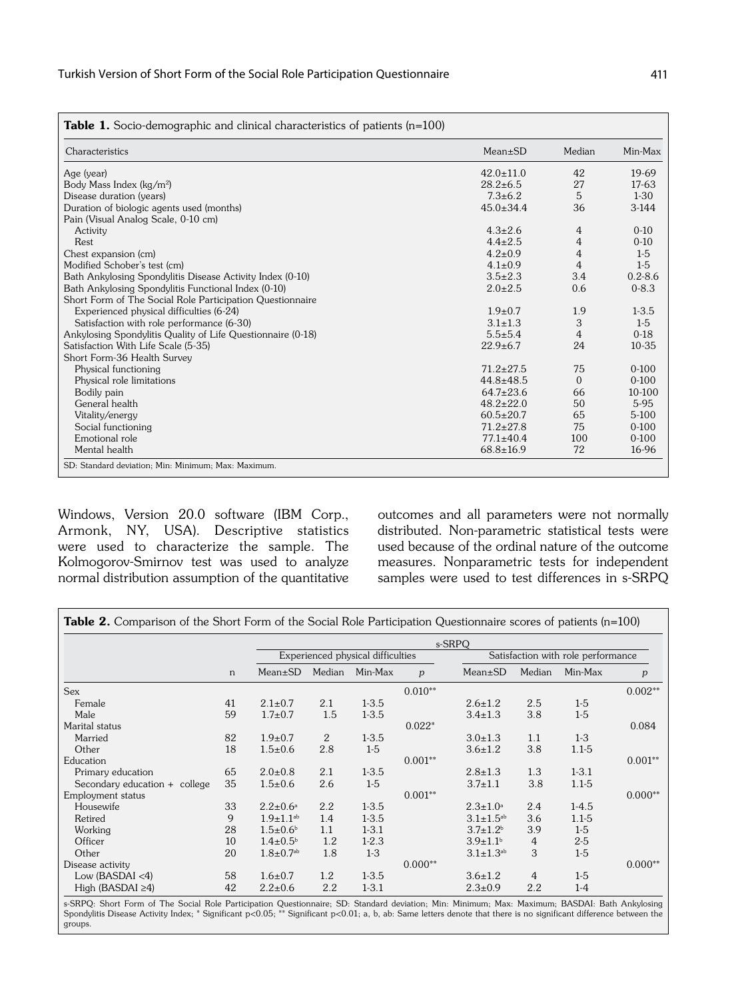| Characteristics                                             | Mean±SD         | Median         | Min-Max     |
|-------------------------------------------------------------|-----------------|----------------|-------------|
| Age (year)                                                  | $42.0 \pm 11.0$ | 42             | 19-69       |
| Body Mass Index (kg/m <sup>2</sup> )                        | $28.2 \pm 6.5$  | 27             | 17-63       |
| Disease duration (years)                                    | $7.3 + 6.2$     | 5              | $1-30$      |
| Duration of biologic agents used (months)                   | $45.0 \pm 34.4$ | 36             | $3-144$     |
| Pain (Visual Analog Scale, 0-10 cm)                         |                 |                |             |
| Activity                                                    | $4.3 \pm 2.6$   | 4              | $0 - 10$    |
| Rest                                                        | $4.4 \pm 2.5$   | 4              | $0 - 10$    |
| Chest expansion (cm)                                        | $4.2 \pm 0.9$   | 4              | $1-5$       |
| Modified Schober's test (cm)                                | $4.1 \pm 0.9$   | $\overline{4}$ | $1-5$       |
| Bath Ankylosing Spondylitis Disease Activity Index (0-10)   | $3.5 \pm 2.3$   | 3.4            | $0.2 - 8.6$ |
| Bath Ankylosing Spondylitis Functional Index (0-10)         | $2.0 \pm 2.5$   | 0.6            | $0 - 8.3$   |
| Short Form of The Social Role Participation Questionnaire   |                 |                |             |
| Experienced physical difficulties (6-24)                    | $1.9 + 0.7$     | 1.9            | $1 - 3.5$   |
| Satisfaction with role performance (6-30)                   | $3.1 \pm 1.3$   | 3              | $1-5$       |
| Ankylosing Spondylitis Quality of Life Questionnaire (0-18) | $5.5 \pm 5.4$   | 4              | $0-18$      |
| Satisfaction With Life Scale (5-35)                         | $22.9+6.7$      | 24             | $10 - 35$   |
| Short Form-36 Health Survey                                 |                 |                |             |
| Physical functioning                                        | $71.2 \pm 27.5$ | 75             | $0 - 100$   |
| Physical role limitations                                   | $44.8 \pm 48.5$ | $\mathbf{0}$   | $0 - 100$   |
| Bodily pain                                                 | $64.7 \pm 23.6$ | 66             | 10-100      |
| General health                                              | $48.2 \pm 22.0$ | 50             | 5-95        |
| Vitality/energy                                             | $60.5 \pm 20.7$ | 65             | $5-100$     |
| Social functioning                                          | $71.2 \pm 27.8$ | 75             | $0 - 100$   |
| Emotional role                                              | $77.1 \pm 40.4$ | 100            | $0 - 100$   |
| Mental health                                               | $68.8 \pm 16.9$ | 72             | 16-96       |

Windows, Version 20.0 software (IBM Corp., Armonk, NY, USA). Descriptive statistics were used to characterize the sample. The Kolmogorov-Smirnov test was used to analyze normal distribution assumption of the quantitative

outcomes and all parameters were not normally distributed. Non-parametric statistical tests were used because of the ordinal nature of the outcome measures. Nonparametric tests for independent samples were used to test differences in s-SRPQ

|                                 |    | s-SRPQ                            |         |           |                                    |                            |        |           |           |
|---------------------------------|----|-----------------------------------|---------|-----------|------------------------------------|----------------------------|--------|-----------|-----------|
|                                 | n  | Experienced physical difficulties |         |           | Satisfaction with role performance |                            |        |           |           |
|                                 |    | $Mean \pm SD$                     | Median  | Min-Max   | $\boldsymbol{p}$                   | $Mean \pm SD$              | Median | Min-Max   | p         |
| <b>Sex</b>                      |    |                                   |         |           | $0.010**$                          |                            |        |           | $0.002**$ |
| Female                          | 41 | $2.1 \pm 0.7$                     | 2.1     | $1 - 3.5$ |                                    | $2.6 \pm 1.2$              | 2.5    | $1-5$     |           |
| Male                            | 59 | $1.7 \pm 0.7$                     | 1.5     | $1 - 3.5$ |                                    | $3.4 \pm 1.3$              | 3.8    | $1-5$     |           |
| Marital status                  |    |                                   |         |           | $0.022*$                           |                            |        |           | 0.084     |
| Married                         | 82 | $1.9 + 0.7$                       | 2       | $1 - 3.5$ |                                    | $3.0 \pm 1.3$              | 1.1    | $1-3$     |           |
| Other                           | 18 | $1.5 \pm 0.6$                     | 2.8     | $1-5$     |                                    | $3.6 \pm 1.2$              | 3.8    | $1.1 - 5$ |           |
| Education                       |    |                                   |         |           | $0.001**$                          |                            |        |           | $0.001**$ |
| Primary education               | 65 | $2.0 \pm 0.8$                     | 2.1     | $1 - 3.5$ |                                    | $2.8 \pm 1.3$              | 1.3    | $1 - 3.1$ |           |
| Secondary education $+$ college | 35 | $1.5 \pm 0.6$                     | 2.6     | $1-5$     |                                    | $3.7 \pm 1.1$              | 3.8    | $1.1 - 5$ |           |
| Employment status               |    |                                   |         |           | $0.001**$                          |                            |        |           | $0.000**$ |
| Housewife                       | 33 | $2.2 \pm 0.6^{\circ}$             | 2.2     | $1 - 3.5$ |                                    | $2.3 \pm 1.0^{\circ}$      | 2.4    | $1-4.5$   |           |
| Retired                         | 9  | $1.9 \pm 1.1^{ab}$                | 1.4     | $1 - 3.5$ |                                    | $3.1 \pm 1.5^{ab}$         | 3.6    | $1.1 - 5$ |           |
| Working                         | 28 | $1.5 \pm 0.6^b$                   | 1.1     | $1 - 3.1$ |                                    | $3.7 \pm 1.2^b$            | 3.9    | $1-5$     |           |
| Officer                         | 10 | $1.4 \pm 0.5^{\circ}$             | 1.2     | $1-2.3$   |                                    | $3.9 \pm 1.1$ <sup>b</sup> | 4      | $2 - 5$   |           |
| Other                           | 20 | $1.8 \pm 0.7$ <sup>ab</sup>       | 1.8     | $1-3$     |                                    | $3.1 \pm 1.3^{ab}$         | 3      | $1-5$     |           |
| Disease activity                |    |                                   |         |           | $0.000**$                          |                            |        |           | $0.000**$ |
| Low $(BASDAI < 4)$              | 58 | $1.6 \pm 0.7$                     | $1.2\,$ | $1 - 3.5$ |                                    | $3.6 \pm 1.2$              | 4      | $1-5$     |           |
| High (BASDAI $\geq 4$ )         | 42 | $2.2 \pm 0.6$                     | 2.2     | $1 - 3.1$ |                                    | $2.3 \pm 0.9$              | 2.2    | $1-4$     |           |

s-SRPQ: Short Form of The Social Role Participation Questionnaire; SD: Standard deviation; Min: Minimum; Max: Maximum; BASDAI: Bath Ankylosing<br>Spondylitis Disease Activity Index; \* Significant p<0.05; \*\* Significant p<0.01 groups.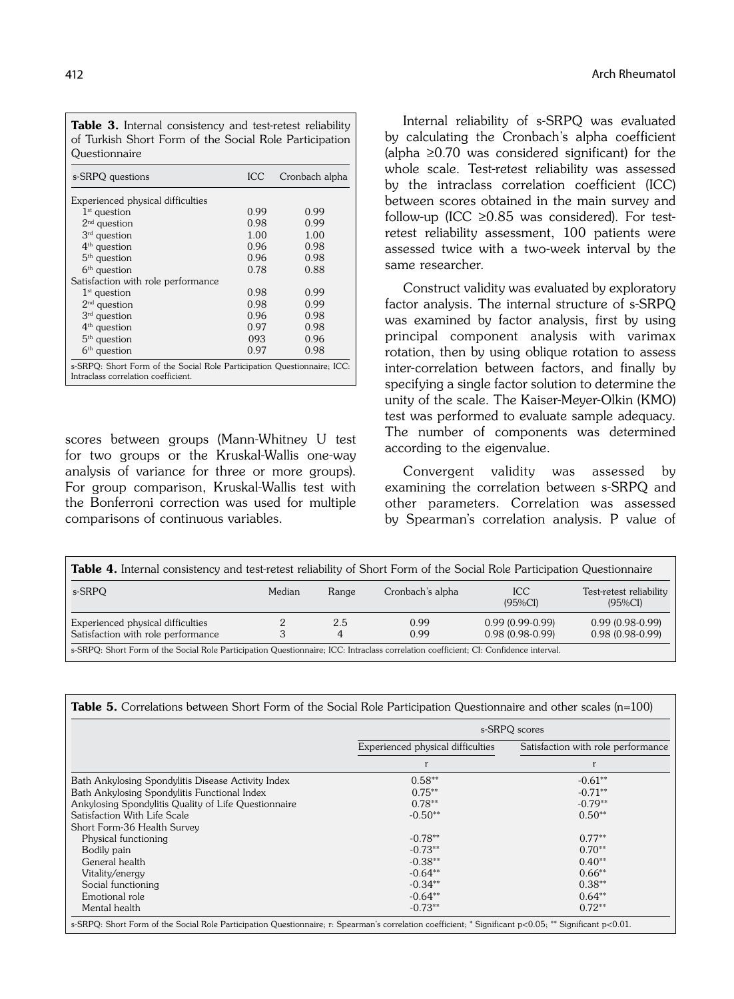| <b>Table 3.</b> Internal consistency and test-retest reliability<br>of Turkish Short Form of the Social Role Participation<br>Questionnaire |            |                |  |  |
|---------------------------------------------------------------------------------------------------------------------------------------------|------------|----------------|--|--|
| s-SRPQ questions                                                                                                                            | <b>ICC</b> | Cronbach alpha |  |  |
| Experienced physical difficulties                                                                                                           |            |                |  |  |
| $1st$ question                                                                                                                              | 0.99       | 0.99           |  |  |
| $2nd$ question                                                                                                                              | 0.98       | 0.99           |  |  |
| $3rd$ question                                                                                                                              | 1.00       | 1.00           |  |  |
| $4th$ question                                                                                                                              | 0.96       | 0.98           |  |  |
| $5th$ question                                                                                                                              | 0.96       | 0.98           |  |  |
| $6th$ question                                                                                                                              | 0.78       | 0.88           |  |  |
| Satisfaction with role performance                                                                                                          |            |                |  |  |
| $1st$ question                                                                                                                              | 0.98       | 0.99           |  |  |
| $2nd$ question                                                                                                                              | 0.98       | 0.99           |  |  |
| 3 <sup>rd</sup> question                                                                                                                    | 0.96       | 0.98           |  |  |
| $4th$ question                                                                                                                              | 0.97       | 0.98           |  |  |
| $5th$ question                                                                                                                              | 093        | 0.96           |  |  |
| $6th$ question                                                                                                                              | 0.97       | 0.98           |  |  |
| s-SRPQ: Short Form of the Social Role Participation Questionnaire; ICC:<br>Intraclass correlation coefficient.                              |            |                |  |  |

scores between groups (Mann-Whitney U test for two groups or the Kruskal-Wallis one-way analysis of variance for three or more groups). For group comparison, Kruskal-Wallis test with the Bonferroni correction was used for multiple comparisons of continuous variables.

Internal reliability of s-SRPQ was evaluated by calculating the Cronbach's alpha coefficient (alpha ≥0.70 was considered significant) for the whole scale. Test-retest reliability was assessed by the intraclass correlation coefficient (ICC) between scores obtained in the main survey and follow-up (ICC  $\geq 0.85$  was considered). For testretest reliability assessment, 100 patients were assessed twice with a two-week interval by the same researcher.

Construct validity was evaluated by exploratory factor analysis. The internal structure of s-SRPQ was examined by factor analysis, first by using principal component analysis with varimax rotation, then by using oblique rotation to assess inter-correlation between factors, and finally by specifying a single factor solution to determine the unity of the scale. The Kaiser-Meyer-Olkin (KMO) test was performed to evaluate sample adequacy. The number of components was determined according to the eigenvalue.

Convergent validity was assessed by examining the correlation between s-SRPQ and other parameters. Correlation was assessed by Spearman's correlation analysis. P value of

| Table 4. Internal consistency and test-retest reliability of Short Form of the Social Role Participation Questionnaire               |        |          |                  |                                        |                                        |
|--------------------------------------------------------------------------------------------------------------------------------------|--------|----------|------------------|----------------------------------------|----------------------------------------|
| s-SRPQ                                                                                                                               | Median | Range    | Cronbach's alpha | <b>ICC</b><br>$(95\%CI)$               | Test-retest reliability<br>$(95\%CI)$  |
| Experienced physical difficulties<br>Satisfaction with role performance                                                              | 3      | 2.5<br>4 | 0.99<br>0.99     | $0.99(0.99-0.99)$<br>$0.98(0.98-0.99)$ | $0.99(0.98-0.99)$<br>$0.98(0.98-0.99)$ |
| s-SRPQ: Short Form of the Social Role Participation Questionnaire; ICC: Intraclass correlation coefficient; CI: Confidence interval. |        |          |                  |                                        |                                        |

|                                                      | s-SRPQ scores                     |                                    |  |  |
|------------------------------------------------------|-----------------------------------|------------------------------------|--|--|
|                                                      | Experienced physical difficulties | Satisfaction with role performance |  |  |
|                                                      | r                                 | r                                  |  |  |
| Bath Ankylosing Spondylitis Disease Activity Index   | $0.58**$                          | $-0.61**$                          |  |  |
| Bath Ankylosing Spondylitis Functional Index         | $0.75**$                          | $-0.71**$                          |  |  |
| Ankylosing Spondylitis Quality of Life Questionnaire | $0.78**$                          | $-0.79**$                          |  |  |
| Satisfaction With Life Scale                         | $-0.50**$                         | $0.50**$                           |  |  |
| Short Form-36 Health Survey                          |                                   |                                    |  |  |
| Physical functioning                                 | $-0.78**$                         | $0.77**$                           |  |  |
| Bodily pain                                          | $-0.73**$                         | $0.70**$                           |  |  |
| General health                                       | $-0.38**$                         | $0.40**$                           |  |  |
| Vitality/energy                                      | $-0.64**$                         | $0.66**$                           |  |  |
| Social functioning                                   | $-0.34**$                         | $0.38**$                           |  |  |
| Emotional role                                       | $-0.64**$                         | $0.64**$                           |  |  |
| Mental health                                        | $-0.73**$                         | $0.72**$                           |  |  |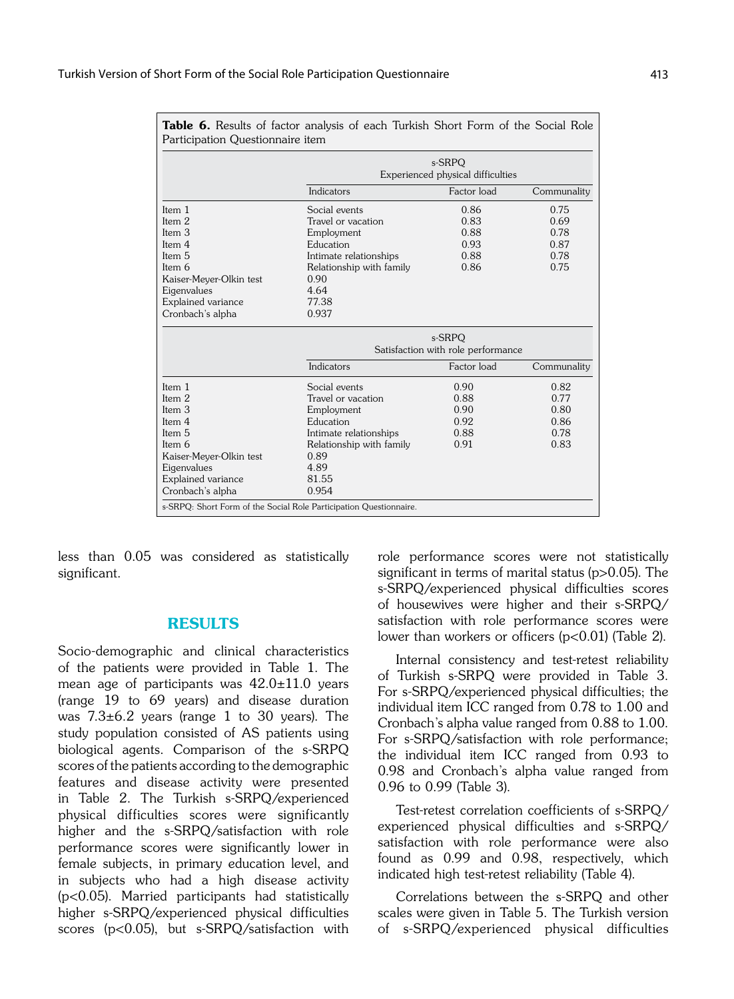| Participation Questionnaire item |                                             |                                    |             |  |  |  |
|----------------------------------|---------------------------------------------|------------------------------------|-------------|--|--|--|
|                                  | s-SRPO<br>Experienced physical difficulties |                                    |             |  |  |  |
|                                  | Indicators                                  | Factor load                        | Communality |  |  |  |
| Item 1                           | Social events                               | 0.86                               | 0.75        |  |  |  |
| Item 2                           | Travel or vacation                          | 0.83                               | 0.69        |  |  |  |
| Item 3                           | Employment                                  | 0.88                               | 0.78        |  |  |  |
| Item 4                           | Education                                   | 0.93                               | 0.87        |  |  |  |
| Item 5                           | Intimate relationships                      | 0.88                               | 0.78        |  |  |  |
| Item 6                           | Relationship with family                    | 0.86                               | 0.75        |  |  |  |
| Kaiser-Meyer-Olkin test          | 0.90                                        |                                    |             |  |  |  |
| Eigenvalues                      | 4.64                                        |                                    |             |  |  |  |
| Explained variance               | 77.38                                       |                                    |             |  |  |  |
| Cronbach's alpha                 | 0.937                                       |                                    |             |  |  |  |
|                                  | s-SRPO                                      |                                    |             |  |  |  |
|                                  |                                             | Satisfaction with role performance |             |  |  |  |
|                                  | Indicators                                  | Factor load                        | Communality |  |  |  |
| Item 1                           | Social events                               | 0.90                               | 0.82        |  |  |  |
| Item 2                           | Travel or vacation                          | 0.88                               | 0.77        |  |  |  |
| Item 3                           | Employment                                  | 0.90                               | 0.80        |  |  |  |
| Item 4                           | Education                                   | 0.92                               | 0.86        |  |  |  |
| Item 5                           | 0.88<br>Intimate relationships<br>0.78      |                                    |             |  |  |  |
| Item 6                           | 0.83<br>0.91<br>Relationship with family    |                                    |             |  |  |  |
| Kaiser-Meyer-Olkin test          | 0.89                                        |                                    |             |  |  |  |
| Eigenvalues                      | 4.89                                        |                                    |             |  |  |  |
| Explained variance               | 81.55                                       |                                    |             |  |  |  |
|                                  |                                             |                                    |             |  |  |  |

Table 6. Results of factor analysis of each Turkish Short Form of the Social Role

less than 0.05 was considered as statistically significant.

# RESULTS

Socio-demographic and clinical characteristics of the patients were provided in Table 1. The mean age of participants was 42.0±11.0 years (range 19 to 69 years) and disease duration was  $7.3\pm6.2$  years (range 1 to 30 years). The study population consisted of AS patients using biological agents. Comparison of the s-SRPQ scores of the patients according to the demographic features and disease activity were presented in Table 2. The Turkish s-SRPQ/experienced physical difficulties scores were significantly higher and the s-SRPQ/satisfaction with role performance scores were significantly lower in female subjects, in primary education level, and in subjects who had a high disease activity (p<0.05). Married participants had statistically higher s-SRPQ/experienced physical difficulties scores (p<0.05), but s-SRPQ/satisfaction with role performance scores were not statistically significant in terms of marital status (p>0.05). The s-SRPQ/experienced physical difficulties scores of housewives were higher and their s-SRPQ/ satisfaction with role performance scores were lower than workers or officers (p<0.01) (Table 2).

Internal consistency and test-retest reliability of Turkish s-SRPQ were provided in Table 3. For s-SRPQ/experienced physical difficulties; the individual item ICC ranged from 0.78 to 1.00 and Cronbach's alpha value ranged from 0.88 to 1.00. For s-SRPQ/satisfaction with role performance; the individual item ICC ranged from 0.93 to 0.98 and Cronbach's alpha value ranged from 0.96 to 0.99 (Table 3).

Test-retest correlation coefficients of s-SRPQ/ experienced physical difficulties and s-SRPQ/ satisfaction with role performance were also found as 0.99 and 0.98, respectively, which indicated high test-retest reliability (Table 4).

Correlations between the s-SRPQ and other scales were given in Table 5. The Turkish version of s-SRPQ/experienced physical difficulties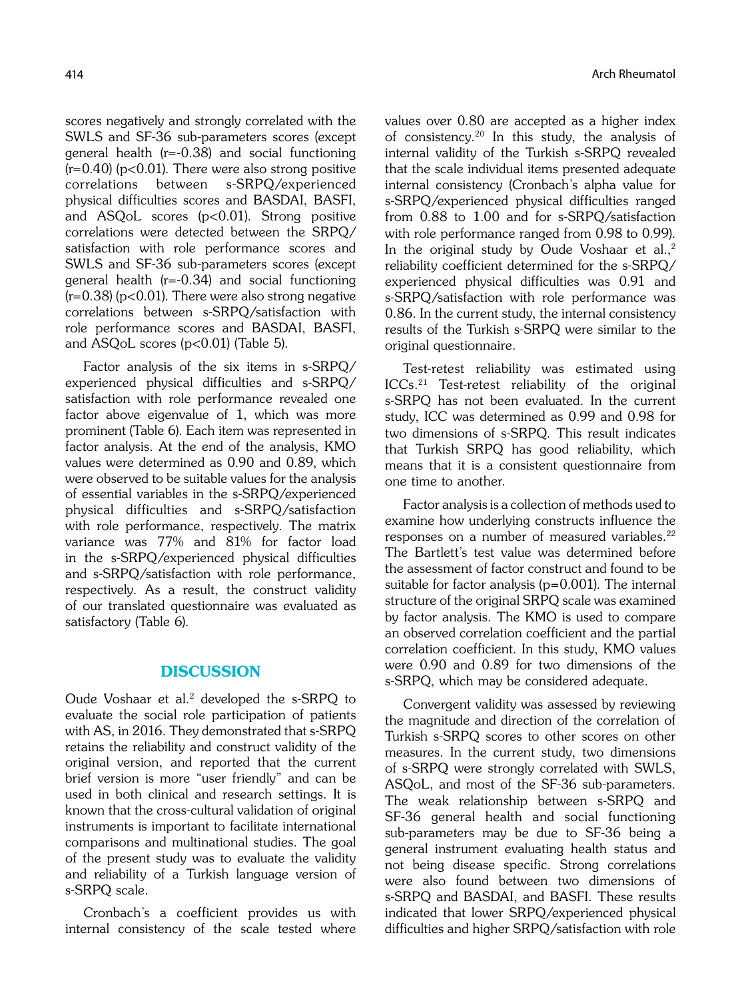scores negatively and strongly correlated with the SWLS and SF-36 sub-parameters scores (except general health (r=-0.38) and social functioning  $(r=0.40)$  (p<0.01). There were also strong positive correlations between s-SRPQ/experienced physical difficulties scores and BASDAI, BASFI, and ASQoL scores (p<0.01). Strong positive correlations were detected between the SRPQ/ satisfaction with role performance scores and SWLS and SF-36 sub-parameters scores (except general health (r=-0.34) and social functioning  $(r=0.38)$  (p<0.01). There were also strong negative correlations between s-SRPQ/satisfaction with role performance scores and BASDAI, BASFI, and ASQoL scores (p<0.01) (Table 5).

Factor analysis of the six items in s-SRPQ/ experienced physical difficulties and s-SRPQ/ satisfaction with role performance revealed one factor above eigenvalue of 1, which was more prominent (Table 6). Each item was represented in factor analysis. At the end of the analysis, KMO values were determined as 0.90 and 0.89, which were observed to be suitable values for the analysis of essential variables in the s-SRPQ/experienced physical difficulties and s-SRPQ/satisfaction with role performance, respectively. The matrix variance was 77% and 81% for factor load in the s-SRPQ/experienced physical difficulties and s-SRPQ/satisfaction with role performance, respectively. As a result, the construct validity of our translated questionnaire was evaluated as satisfactory (Table 6).

# **DISCUSSION**

Oude Voshaar et al.<sup>2</sup> developed the s-SRPQ to evaluate the social role participation of patients with AS, in 2016. They demonstrated that s-SRPQ retains the reliability and construct validity of the original version, and reported that the current brief version is more "user friendly" and can be used in both clinical and research settings. It is known that the cross-cultural validation of original instruments is important to facilitate international comparisons and multinational studies. The goal of the present study was to evaluate the validity and reliability of a Turkish language version of s-SRPQ scale.

Cronbach's a coefficient provides us with internal consistency of the scale tested where values over 0.80 are accepted as a higher index of consistency.20 In this study, the analysis of internal validity of the Turkish s-SRPQ revealed that the scale individual items presented adequate internal consistency (Cronbach's alpha value for s-SRPQ/experienced physical difficulties ranged from 0.88 to 1.00 and for s-SRPQ/satisfaction with role performance ranged from 0.98 to 0.99). In the original study by Oude Voshaar et al., $2$ reliability coefficient determined for the s-SRPQ/ experienced physical difficulties was 0.91 and s-SRPQ/satisfaction with role performance was 0.86. In the current study, the internal consistency results of the Turkish s-SRPQ were similar to the original questionnaire.

Test-retest reliability was estimated using ICCs.21 Test-retest reliability of the original s-SRPQ has not been evaluated. In the current study, ICC was determined as 0.99 and 0.98 for two dimensions of s-SRPQ. This result indicates that Turkish SRPQ has good reliability, which means that it is a consistent questionnaire from one time to another.

Factor analysis is a collection of methods used to examine how underlying constructs influence the responses on a number of measured variables.<sup>22</sup> The Bartlett's test value was determined before the assessment of factor construct and found to be suitable for factor analysis ( $p=0.001$ ). The internal structure of the original SRPQ scale was examined by factor analysis. The KMO is used to compare an observed correlation coefficient and the partial correlation coefficient. In this study, KMO values were 0.90 and 0.89 for two dimensions of the s-SRPQ, which may be considered adequate.

Convergent validity was assessed by reviewing the magnitude and direction of the correlation of Turkish s-SRPQ scores to other scores on other measures. In the current study, two dimensions of s-SRPQ were strongly correlated with SWLS, ASQoL, and most of the SF-36 sub-parameters. The weak relationship between s-SRPQ and SF-36 general health and social functioning sub-parameters may be due to SF-36 being a general instrument evaluating health status and not being disease specific. Strong correlations were also found between two dimensions of s-SRPQ and BASDAI, and BASFI. These results indicated that lower SRPQ/experienced physical difficulties and higher SRPQ/satisfaction with role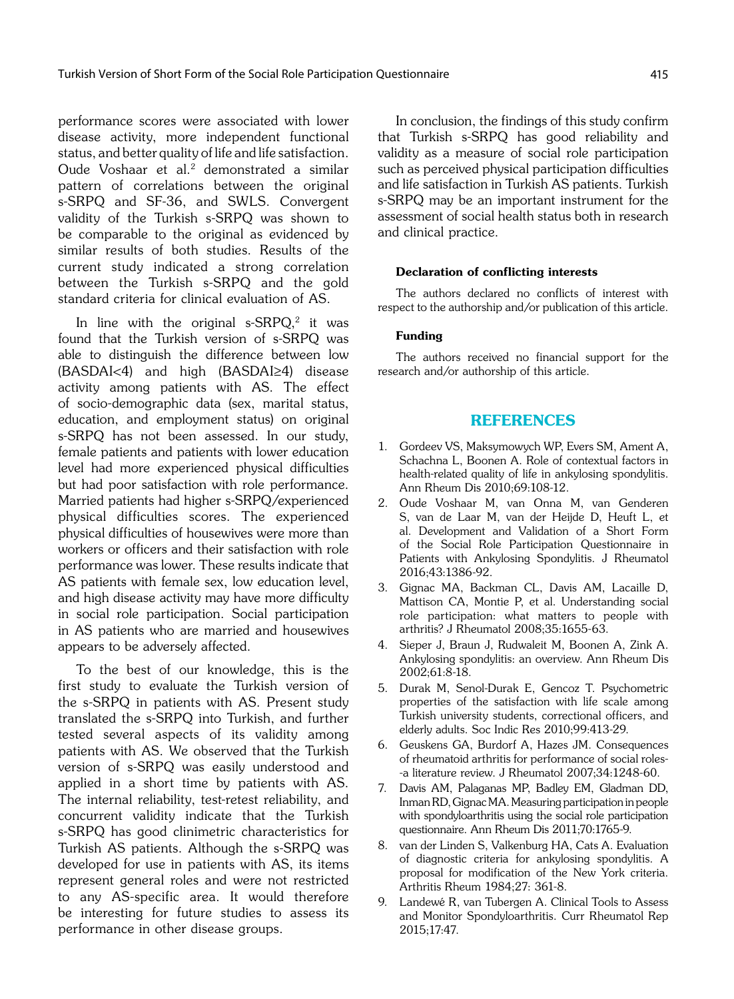performance scores were associated with lower disease activity, more independent functional status, and better quality of life and life satisfaction. Oude Voshaar et al.2 demonstrated a similar pattern of correlations between the original s-SRPQ and SF-36, and SWLS. Convergent validity of the Turkish s-SRPQ was shown to be comparable to the original as evidenced by similar results of both studies. Results of the current study indicated a strong correlation between the Turkish s-SRPQ and the gold standard criteria for clinical evaluation of AS.

In line with the original  $s$ -SRPQ,<sup>2</sup> it was found that the Turkish version of s-SRPQ was able to distinguish the difference between low (BASDAI<4) and high (BASDAI≥4) disease activity among patients with AS. The effect of socio-demographic data (sex, marital status, education, and employment status) on original s-SRPQ has not been assessed. In our study, female patients and patients with lower education level had more experienced physical difficulties but had poor satisfaction with role performance. Married patients had higher s-SRPQ/experienced physical difficulties scores. The experienced physical difficulties of housewives were more than workers or officers and their satisfaction with role performance was lower. These results indicate that AS patients with female sex, low education level, and high disease activity may have more difficulty in social role participation. Social participation in AS patients who are married and housewives appears to be adversely affected.

To the best of our knowledge, this is the first study to evaluate the Turkish version of the s-SRPQ in patients with AS. Present study translated the s-SRPQ into Turkish, and further tested several aspects of its validity among patients with AS. We observed that the Turkish version of s-SRPQ was easily understood and applied in a short time by patients with AS. The internal reliability, test-retest reliability, and concurrent validity indicate that the Turkish s-SRPQ has good clinimetric characteristics for Turkish AS patients. Although the s-SRPQ was developed for use in patients with AS, its items represent general roles and were not restricted to any AS-specific area. It would therefore be interesting for future studies to assess its performance in other disease groups.

In conclusion, the findings of this study confirm that Turkish s-SRPQ has good reliability and validity as a measure of social role participation such as perceived physical participation difficulties and life satisfaction in Turkish AS patients. Turkish s-SRPQ may be an important instrument for the assessment of social health status both in research and clinical practice.

#### Declaration of conflicting interests

The authors declared no conflicts of interest with respect to the authorship and/or publication of this article.

#### Funding

The authors received no financial support for the research and/or authorship of this article.

## REFERENCES

- 1. Gordeev VS, Maksymowych WP, Evers SM, Ament A, Schachna L, Boonen A. Role of contextual factors in health-related quality of life in ankylosing spondylitis. Ann Rheum Dis 2010;69:108-12.
- 2. Oude Voshaar M, van Onna M, van Genderen S, van de Laar M, van der Heijde D, Heuft L, et al. Development and Validation of a Short Form of the Social Role Participation Questionnaire in Patients with Ankylosing Spondylitis. J Rheumatol 2016;43:1386-92.
- 3. Gignac MA, Backman CL, Davis AM, Lacaille D, Mattison CA, Montie P, et al. Understanding social role participation: what matters to people with arthritis? J Rheumatol 2008;35:1655-63.
- 4. Sieper J, Braun J, Rudwaleit M, Boonen A, Zink A. Ankylosing spondylitis: an overview. Ann Rheum Dis 2002;61:8-18.
- 5. Durak M, Senol-Durak E, Gencoz T. Psychometric properties of the satisfaction with life scale among Turkish university students, correctional officers, and elderly adults. Soc Indic Res 2010;99:413-29.
- 6. Geuskens GA, Burdorf A, Hazes JM. Consequences of rheumatoid arthritis for performance of social roles- -a literature review. J Rheumatol 2007;34:1248-60.
- 7. Davis AM, Palaganas MP, Badley EM, Gladman DD, Inman RD, Gignac MA. Measuring participation in people with spondyloarthritis using the social role participation questionnaire. Ann Rheum Dis 2011;70:1765-9.
- van der Linden S, Valkenburg HA, Cats A. Evaluation of diagnostic criteria for ankylosing spondylitis. A proposal for modification of the New York criteria. Arthritis Rheum 1984;27: 361-8.
- 9. Landewé R, van Tubergen A. Clinical Tools to Assess and Monitor Spondyloarthritis. Curr Rheumatol Rep 2015;17:47.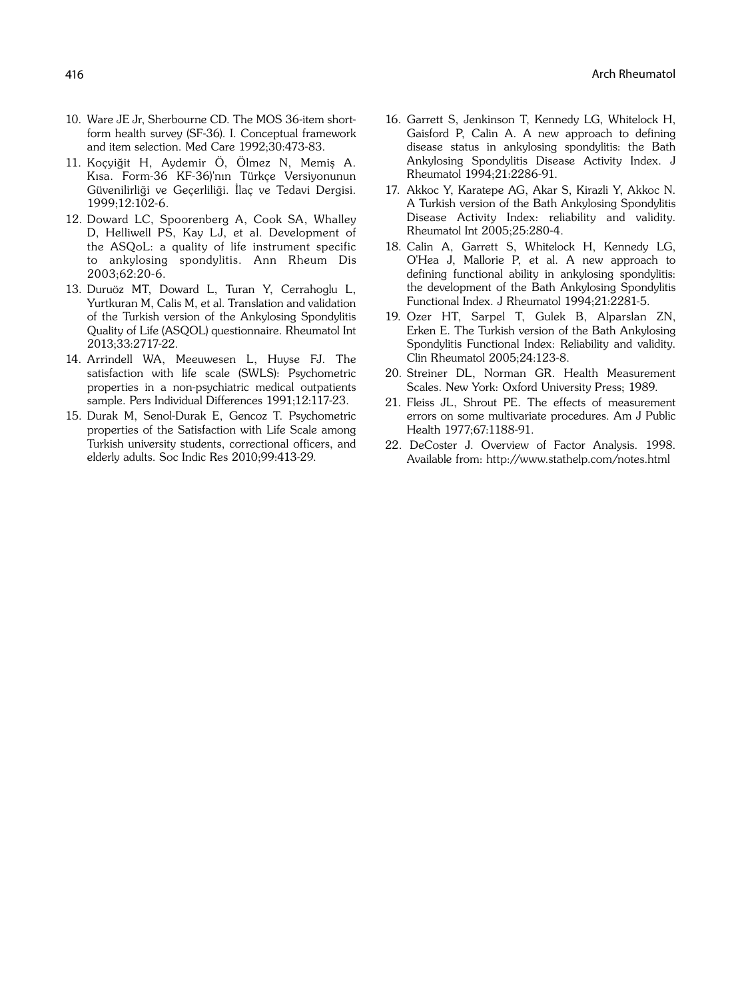- 10. Ware JE Jr, Sherbourne CD. The MOS 36-item shortform health survey (SF-36). I. Conceptual framework and item selection. Med Care 1992;30:473-83.
- 11. Koçyiğit H, Aydemir Ö, Ölmez N, Memiş A. Kısa. Form-36 KF-36)'nın Türkçe Versiyonunun Güvenilirliği ve Gecerliliği. İlac ve Tedavi Dergisi. 1999;12:102-6.
- 12. Doward LC, Spoorenberg A, Cook SA, Whalley D, Helliwell PS, Kay LJ, et al. Development of the ASQoL: a quality of life instrument specific to ankylosing spondylitis. Ann Rheum Dis 2003;62:20-6.
- 13. Duruöz MT, Doward L, Turan Y, Cerrahoglu L, Yurtkuran M, Calis M, et al. Translation and validation of the Turkish version of the Ankylosing Spondylitis Quality of Life (ASQOL) questionnaire. Rheumatol Int 2013;33:2717-22.
- 14. Arrindell WA, Meeuwesen L, Huyse FJ. The satisfaction with life scale (SWLS): Psychometric properties in a non-psychiatric medical outpatients sample. Pers Individual Differences 1991;12:117-23.
- 15. Durak M, Senol-Durak E, Gencoz T. Psychometric properties of the Satisfaction with Life Scale among Turkish university students, correctional officers, and elderly adults. Soc Indic Res 2010;99:413-29.
- 16. Garrett S, Jenkinson T, Kennedy LG, Whitelock H, Gaisford P, Calin A. A new approach to defining disease status in ankylosing spondylitis: the Bath Ankylosing Spondylitis Disease Activity Index. J Rheumatol 1994;21:2286-91.
- 17. Akkoc Y, Karatepe AG, Akar S, Kirazli Y, Akkoc N. A Turkish version of the Bath Ankylosing Spondylitis Disease Activity Index: reliability and validity. Rheumatol Int 2005;25:280-4.
- 18. Calin A, Garrett S, Whitelock H, Kennedy LG, O'Hea J, Mallorie P, et al. A new approach to defining functional ability in ankylosing spondylitis: the development of the Bath Ankylosing Spondylitis Functional Index. J Rheumatol 1994;21:2281-5.
- 19. Ozer HT, Sarpel T, Gulek B, Alparslan ZN, Erken E. The Turkish version of the Bath Ankylosing Spondylitis Functional Index: Reliability and validity. Clin Rheumatol 2005;24:123-8.
- 20. Streiner DL, Norman GR. Health Measurement Scales. New York: Oxford University Press; 1989.
- 21. Fleiss JL, Shrout PE. The effects of measurement errors on some multivariate procedures. Am J Public Health 1977;67:1188-91.
- 22. DeCoster J. Overview of Factor Analysis. 1998. Available from: http://www.stathelp.com/notes.html